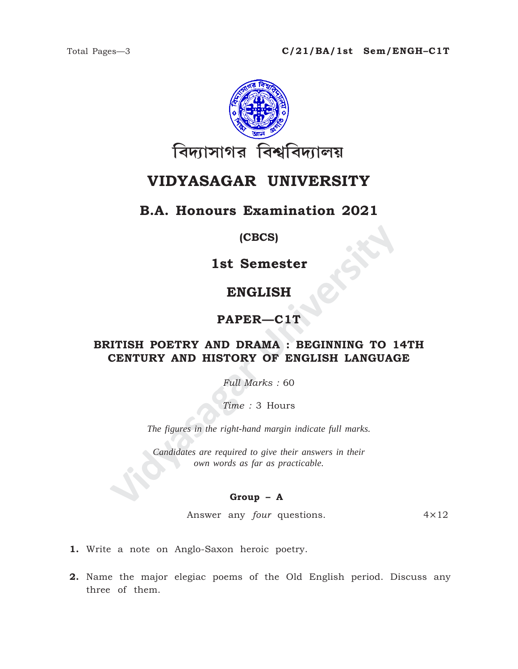

# **VIDYASAGAR UNIVERSITY**

## **B.A. Honours Examination 2021**

### **(CBCS)**

**1st Semester**

# **ENGLISH**

### **PAPER—C1T**

# **IST SEMELISH<br>
ENGLISH<br>
PAPER—C1T<br>
TTISH POETRY AND DRAMA : BEGINNING TO 1<br>
CENTURY AND HISTORY OF ENGLISH LANGUAG<br>
Full Marks : 60<br>
Time : 3 Hours<br>
The figures in the right-hand margin indicate full marks.<br>
Candidates are BRITISH POETRY AND DRAMA : BEGINNING TO 14TH CENTURY AND HISTORY OF ENGLISH LANGUAGE**

*Full Marks :* 60

*Time :* 3 Hours

*The figures in the right-hand margin indicate full marks.*

*Candidates are required to give their answers in their own words as far as practicable.*

### **Group – A**

Answer any *four* questions. 4×12

- **1.** Write a note on Anglo-Saxon heroic poetry.
- **2.** Name the major elegiac poems of the Old English period. Discuss any three of them.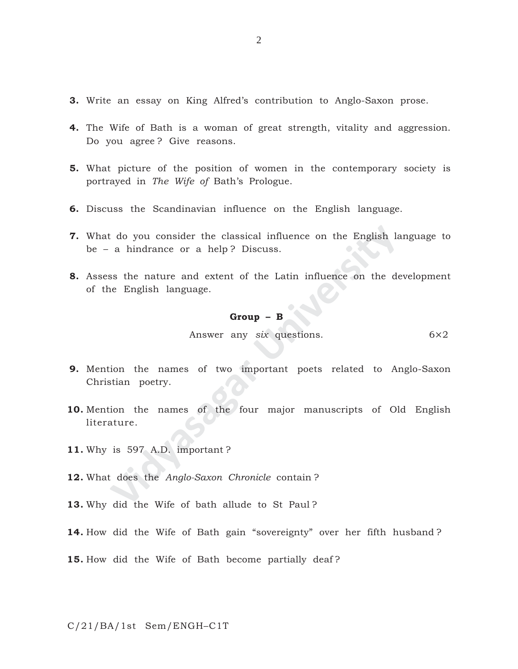- **3.** Write an essay on King Alfred's contribution to Anglo-Saxon prose.
- **4.** The Wife of Bath is a woman of great strength, vitality and aggression. Do you agree ? Give reasons.
- **5.** What picture of the position of women in the contemporary society is portrayed in *The Wife of* Bath's Prologue.
- **6.** Discuss the Scandinavian influence on the English language.
- **7.** What do you consider the classical influence on the English language to be – a hindrance or a help ? Discuss.
- **8.** Assess the nature and extent of the Latin influence on the development of the English language.

### **Group – B**

Answer any *six* questions. 6×2

- **9.** Mention the names of two important poets related to Anglo-Saxon Christian poetry.
- Color you consider the classical influence on the English lands a hindrance or a help? Discuss.<br> **Solution English language.**<br> **Croup B**<br> **Croup B**<br> **Croup B**<br> **Croup B**<br> **Croup B**<br> **Croup B**<br> **Croup B**<br> **Cro 10.** Mention the names of the four major manuscripts of Old English literature.
- **11.** Why is 597 A.D. important ?
- **12.** What does the *Anglo-Saxon Chronicle* contain ?
- **13.** Why did the Wife of bath allude to St Paul ?
- **14.** How did the Wife of Bath gain "sovereignty" over her fifth husband ?
- **15.** How did the Wife of Bath become partially deaf ?

C/21/BA/1st Sem/ENGH–C1T